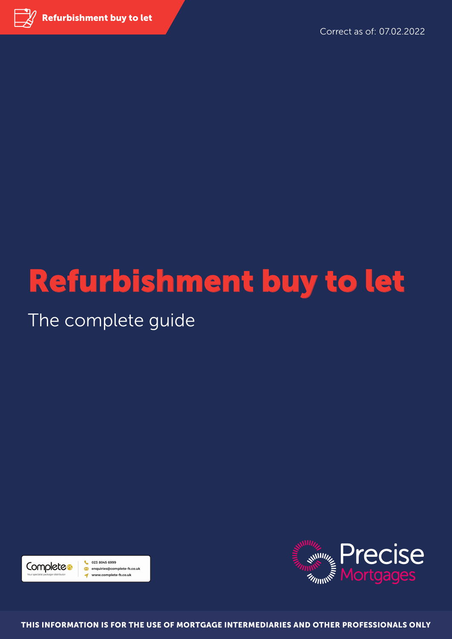

Refurbishment buy to let - The complete guide

Correct as of: 07.02.2022

# Refurbishment buy to let

### The complete guide





THIS INFORMATION IS FOR THE USE OF MORTGAGE INTERMEDIARIES AND OTHER PROFESSIONALS ONLY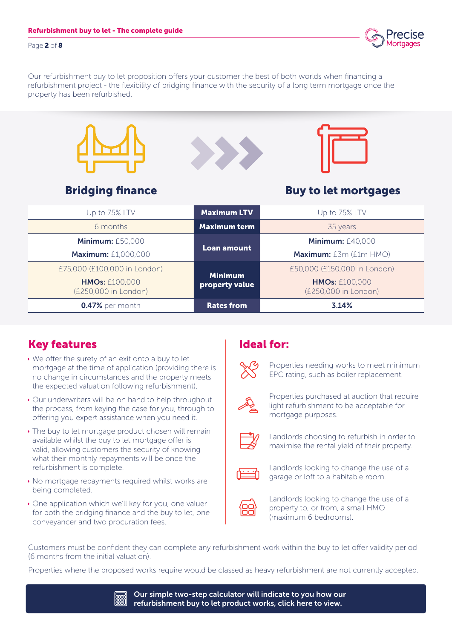Page 2 of 8

Our refurbishment buy to let proposition offers your customer the best of both worlds when financing a refurbishment project - the flexibility of bridging finance with the security of a long term mortgage once the property has been refurbished.

| <b>Bridging finance</b>                       |                                  | <b>Buy to let mortgages</b>                   |
|-----------------------------------------------|----------------------------------|-----------------------------------------------|
| Up to 75% LTV                                 | <b>Maximum LTV</b>               | Up to 75% LTV                                 |
| 6 months                                      | <b>Maximum term</b>              | 35 years                                      |
| <b>Minimum: £50,000</b>                       |                                  | <b>Minimum: £40,000</b>                       |
| <b>Maximum: £1,000,000</b>                    | <b>Loan amount</b>               | Maximum: £3m (£1m HMO)                        |
| £75,000 (£100,000 in London)                  |                                  | £50,000 (£150,000 in London)                  |
| <b>HMOs: £100,000</b><br>(£250,000 in London) | <b>Minimum</b><br>property value | <b>HMOs: £100,000</b><br>(£250,000 in London) |
| 0.47% per month                               | <b>Rates from</b>                | 3.14%                                         |

#### Key features

- $\cdot$  We offer the surety of an exit onto a buy to let mortgage at the time of application (providing there is no change in circumstances and the property meets the expected valuation following refurbishment).
- Our underwriters will be on hand to help throughout the process, from keying the case for you, through to offering you expert assistance when you need it.
- $\cdot$  The buy to let mortgage product chosen will remain available whilst the buy to let mortgage offer is valid, allowing customers the security of knowing what their monthly repayments will be once the refurbishment is complete.
- $\cdot$  No mortgage repayments required whilst works are being completed.
- $\cdot$  One application which we'll key for you, one valuer for both the bridging finance and the buy to let, one conveyancer and two procuration fees.

#### Ideal for:



Properties needing works to meet minimum EPC rating, such as boiler replacement.



Properties purchased at auction that require light refurbishment to be acceptable for mortgage purposes.



Landlords choosing to refurbish in order to maximise the rental yield of their property.



Landlords looking to change the use of a garage or loft to a habitable room.



Landlords looking to change the use of a property to, or from, a small HMO (maximum 6 bedrooms).

Customers must be confident they can complete any refurbishment work within the buy to let offer validity period (6 months from the initial valuation).

Properties where the proposed works require would be classed as heavy refurbishment are not currently accepted.

Our simple two-step calculator will indicate to you how our 關 refurbishment buy to let product works, click here to view.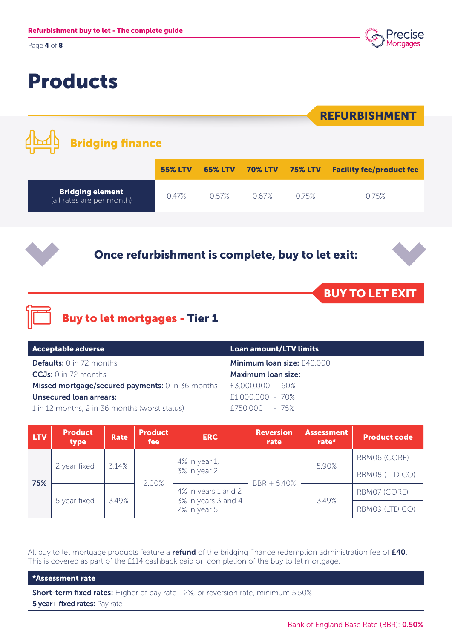Page 4 of 8



### Products

| <b>Bridging finance</b>                              |                |                |                |                | <b>REFURBISHMENT</b>            |
|------------------------------------------------------|----------------|----------------|----------------|----------------|---------------------------------|
|                                                      | <b>55% LTV</b> | <b>65% LTV</b> | <b>70% LTV</b> | <b>75% LTV</b> | <b>Facility fee/product fee</b> |
| <b>Bridging element</b><br>(all rates are per month) | 0.47%          | 0.57%          | 0.67%          | 0.75%          | 0.75%                           |
| Once refurbishment is complete, buy to let exit:     |                |                |                |                | <b>BUY TO LET EXIT</b>          |

### Buy to let mortgages - Tier 1

| Acceptable adverse                                      | Loan amount/LTV limits     |
|---------------------------------------------------------|----------------------------|
| <b>Defaults:</b> 0 in 72 months                         | Minimum loan size: £40,000 |
| $CCJs: 0$ in 72 months                                  | <b>Maximum loan size:</b>  |
| <b>Missed mortgage/secured payments:</b> 0 in 36 months | £3,000,000 - 60%           |
| Unsecured loan arrears:                                 | £1,000,000 - 70%           |
| 1 in 12 months, 2 in 36 months (worst status)           | £750,000 - 75%             |

| LTV. | <b>Product</b><br>type | Rate  | <b>Product</b><br><b>fee</b> | <b>ERC</b>                                                 | <b>Reversion</b><br>rate | <b>Assessment</b><br>rate* | <b>Product code</b> |
|------|------------------------|-------|------------------------------|------------------------------------------------------------|--------------------------|----------------------------|---------------------|
| 75%  | 2 year fixed           | 3.14% | 2.00%                        | 4% in year 1,<br>3% in year 2                              | $BBR + 5.40%$            | 5.90%                      | RBM06 (CORE)        |
|      |                        |       |                              |                                                            |                          |                            | RBM08 (LTD CO)      |
|      | 5 year fixed           | 3.49% |                              | 4% in years 1 and 2<br>3% in years 3 and 4<br>2% in year 5 |                          | 3.49%                      | RBM07 (CORE)        |
|      |                        |       |                              |                                                            |                          |                            | RBM09 (LTD CO)      |

All buy to let mortgage products feature a refund of the bridging finance redemption administration fee of £40. This is covered as part of the £114 cashback paid on completion of the buy to let mortgage.

\*Assessment rate

Short-term fixed rates: Higher of pay rate +2%, or reversion rate, minimum 5.50% **5 year+ fixed rates: Pay rate**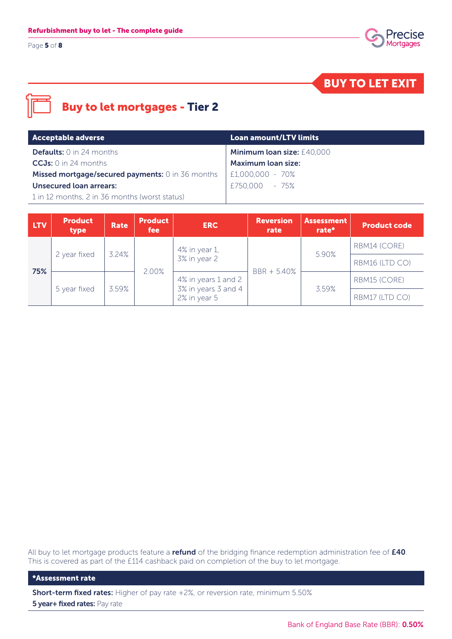Page 5 of 8



BUY TO LET EXIT

#### Buy to let mortgages - Tier 2

| Acceptable adverse                               | <b>Loan amount/LTV limits</b> |
|--------------------------------------------------|-------------------------------|
| <b>Defaults:</b> $0$ in 24 months                | Minimum loan size: £40,000    |
| $CCJs$ : 0 in 24 months                          | <b>Maximum loan size:</b>     |
| Missed mortgage/secured payments: 0 in 36 months | E1,000,000 - 70%              |
| <b>Unsecured loan arrears:</b>                   | £750,000 - 75%                |
| 1 in 12 months, 2 in 36 months (worst status)    |                               |

| <b>LTV</b> | <b>Product</b><br>type | Rate  | <b>Product</b><br>fee | <b>ERC</b>                                                 | <b>Reversion</b><br>rate | <b>Assessment</b><br>rate* | <b>Product code</b> |
|------------|------------------------|-------|-----------------------|------------------------------------------------------------|--------------------------|----------------------------|---------------------|
| 75%        | 2 year fixed           | 3.24% | 2.00%                 | 4% in year 1,                                              | $BBR + 5.40%$            | 5.90%                      | RBM14 (CORE)        |
|            |                        |       |                       | 3% in year 2                                               |                          |                            | RBM16 (LTD CO)      |
|            | 5 year fixed           | 3.59% |                       | 4% in years 1 and 2<br>3% in years 3 and 4<br>2% in year 5 |                          | 3.59%                      | RBM15 (CORE)        |
|            |                        |       |                       |                                                            |                          |                            | RBM17 (LTD CO)      |

All buy to let mortgage products feature a refund of the bridging finance redemption administration fee of £40. This is covered as part of the £114 cashback paid on completion of the buy to let mortgage.

\*Assessment rate

Short-term fixed rates: Higher of pay rate +2%, or reversion rate, minimum 5.50% **5 year+ fixed rates: Pay rate**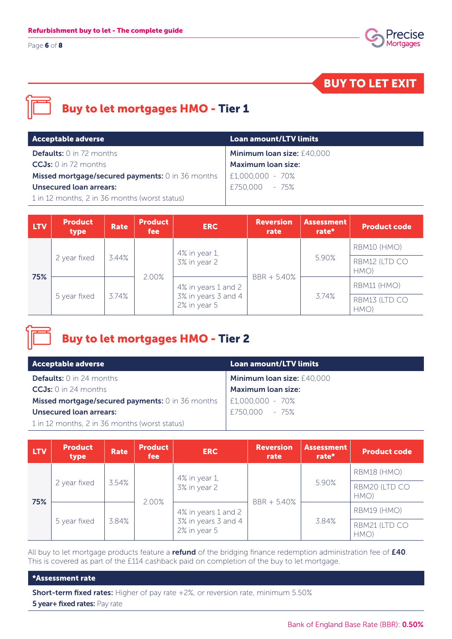Page 6 of 8



BUY TO LET EXIT



#### Buy to let mortgages HMO - Tier 1

| <b>Acceptable adverse</b>                               | <b>Loan amount/LTV limits</b> |
|---------------------------------------------------------|-------------------------------|
| <b>Defaults:</b> 0 in 72 months                         | Minimum loan size: £40,000    |
| $CCJs$ : 0 in 72 months                                 | <b>Maximum loan size:</b>     |
| <b>Missed mortgage/secured payments:</b> 0 in 36 months | $  E1,000,000 - 70%$          |
| <b>Unsecured loan arrears:</b>                          | £750,000 - 75%                |
| 1 in 12 months, 2 in 36 months (worst status)           |                               |

| <b>LTV</b> | <b>Product</b><br>type | Rate  | <b>Product</b><br><i>fee</i> | <b>ERC</b>                                                 | <b>Reversion</b><br>rate | <b>Assessment</b><br>rate* | <b>Product code</b>   |
|------------|------------------------|-------|------------------------------|------------------------------------------------------------|--------------------------|----------------------------|-----------------------|
| 75%        | 2 year fixed           |       |                              | 4% in year 1,                                              | BBR + 5.40%              | 5.90%                      | RBM10 (HMO)           |
|            |                        | 3.44% |                              | 3% in year 2                                               |                          |                            | RBM12 (LTD CO<br>HMO) |
|            | 5 year fixed           | 3.74% | 2.00%                        | 4% in years 1 and 2<br>3% in years 3 and 4<br>2% in year 5 |                          | 3.74%                      | RBM11 (HMO)           |
|            |                        |       |                              |                                                            |                          |                            | RBM13 (LTD CO<br>HMO) |

#### Buy to let mortgages HMO - Tier 2

| <b>Acceptable adverse</b>                               | Loan amount/LTV limits     |
|---------------------------------------------------------|----------------------------|
| <b>Defaults:</b> $0$ in 24 months                       | Minimum loan size: £40,000 |
| $CCJs: 0$ in 24 months                                  | <b>Maximum loan size:</b>  |
| <b>Missed mortgage/secured payments:</b> 0 in 36 months | $ E1,000,000 - 70%$        |
| <b>Unsecured loan arrears:</b>                          | £750,000 - 75%             |
| 1 in 12 months, 2 in 36 months (worst status)           |                            |

| <b>LTV</b> | <b>Product</b><br>type | <b>Rate</b> | <b>Product</b><br>fee | <b>ERC</b>                                                 | <b>Reversion</b><br>rate | <b>Assessment</b><br>rate* | <b>Product code</b>   |
|------------|------------------------|-------------|-----------------------|------------------------------------------------------------|--------------------------|----------------------------|-----------------------|
| 75%        | 2 year fixed           |             |                       | 4% in year 1,<br>3% in year 2                              |                          | 5.90%                      | RBM18 (HMO)           |
|            |                        | 3.54%       |                       |                                                            |                          |                            | RBM20 (LTD CO<br>HMO) |
|            | 5 year fixed           | 3.84%       | 2.00%                 | 4% in years 1 and 2<br>3% in years 3 and 4<br>2% in year 5 | BBR + 5.40%              | 3.84%                      | RBM19 (HMO)           |
|            |                        |             |                       |                                                            |                          |                            | RBM21 (LTD CO<br>HMO) |

All buy to let mortgage products feature a refund of the bridging finance redemption administration fee of £40. This is covered as part of the £114 cashback paid on completion of the buy to let mortgage.

#### \*Assessment rate

Short-term fixed rates: Higher of pay rate +2%, or reversion rate, minimum 5.50% **5 year+ fixed rates: Pay rate**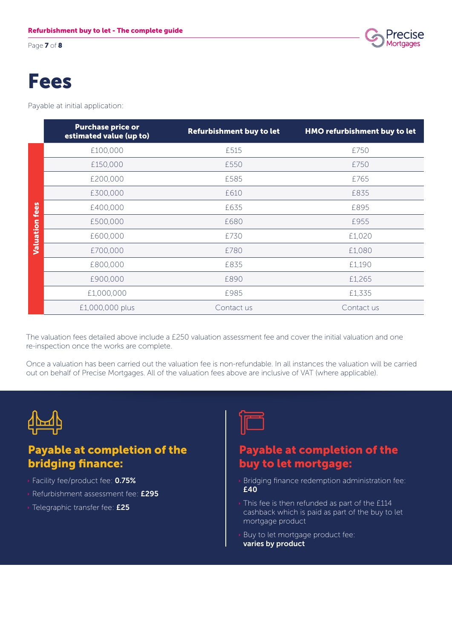Page **7** of 8



### Fees

Payable at initial application:

|           | <b>Purchase price or</b><br>estimated value (up to) | Refurbishment buy to let | HMO refurbishment buy to let |
|-----------|-----------------------------------------------------|--------------------------|------------------------------|
|           | £100,000                                            | £515                     | £750                         |
|           | £150,000                                            | £550                     | £750                         |
|           | £200,000                                            | £585                     | £765                         |
|           | £300,000                                            | £610                     | £835                         |
| fees      | £400,000                                            | £635                     | £895                         |
|           | £500,000                                            | £680                     | £955                         |
| Valuation | £600,000                                            | £730                     | £1,020                       |
|           | £700,000                                            | £780                     | £1,080                       |
|           | £800,000                                            | £835                     | £1,190                       |
|           | £900,000                                            | £890                     | £1,265                       |
|           | £1,000,000                                          | £985                     | £1,335                       |
|           | £1,000,000 plus                                     | Contact us               | Contact us                   |

The valuation fees detailed above include a £250 valuation assessment fee and cover the initial valuation and one re-inspection once the works are complete.

Once a valuation has been carried out the valuation fee is non-refundable. In all instances the valuation will be carried out on behalf of Precise Mortgages. All of the valuation fees above are inclusive of VAT (where applicable).



#### Payable at completion of the bridging finance:

- **Example:** Facility fee/product fee: 0.75%
- **Refurbishment assessment fee: £295**
- **Telegraphic transfer fee: £25**



#### Payable at completion of the buy to let mortgage:

- $\rightarrow$  Bridging finance redemption administration fee: £40
- $\overline{\cdot}$  This fee is then refunded as part of the £114 cashback which is paid as part of the buy to let mortgage product
- **Buy to let mortgage product fee:** varies by product